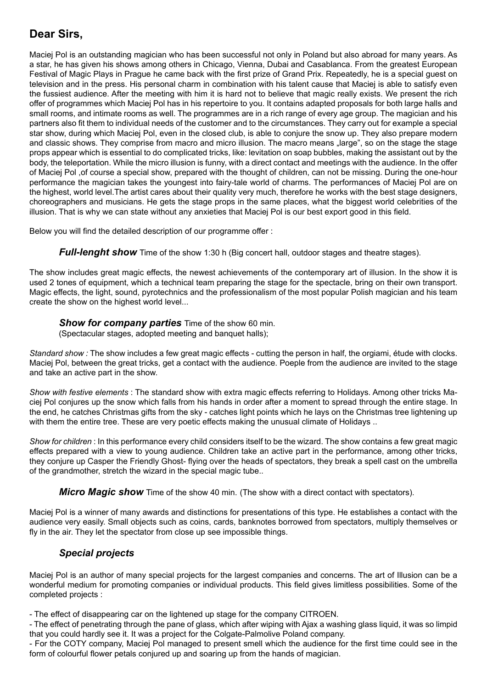# **Dear Sirs,**

Maciej Pol is an outstanding magician who has been successful not only in Poland but also abroad for many years. As a star, he has given his shows among others in Chicago, Vienna, Dubai and Casablanca. From the greatest European Festival of Magic Plays in Prague he came back with the first prize of Grand Prix. Repeatedly, he is a special guest on television and in the press. His personal charm in combination with his talent cause that Maciej is able to satisfy even the fussiest audience. After the meeting with him it is hard not to believe that magic really exists. We present the rich offer of programmes which Maciej Pol has in his repertoire to you. It contains adapted proposals for both large halls and small rooms, and intimate rooms as well. The programmes are in a rich range of every age group. The magician and his partners also fit them to individual needs of the customer and to the circumstances. They carry out for example a special star show, during which Maciej Pol, even in the closed club, is able to conjure the snow up. They also prepare modern and classic shows. They comprise from macro and micro illusion. The macro means "large", so on the stage the stage props appear which is essential to do complicated tricks, like: levitation on soap bubbles, making the assistant out by the body, the teleportation. While the micro illusion is funny, with a direct contact and meetings with the audience. In the offer of Maciej Pol ,of course a special show, prepared with the thought of children, can not be missing. During the one-hour performance the magician takes the youngest into fairy-tale world of charms. The performances of Maciej Pol are on the highest, world level.The artist cares about their quality very much, therefore he works with the best stage designers, choreographers and musicians. He gets the stage props in the same places, what the biggest world celebrities of the illusion. That is why we can state without any anxieties that Maciej Pol is our best export good in this field.

Below you will find the detailed description of our programme offer :

*Full-lenght show* Time of the show 1:30 h (Big concert hall, outdoor stages and theatre stages).

The show includes great magic effects, the newest achievements of the contemporary art of illusion. In the show it is used 2 tones of equipment, which a technical team preparing the stage for the spectacle, bring on their own transport. Magic effects, the light, sound, pyrotechnics and the professionalism of the most popular Polish magician and his team create the show on the highest world level...

### *Show for company parties* Time of the show 60 min.

(Spectacular stages, adopted meeting and banquet halls);

*Standard show :* The show includes a few great magic effects - cutting the person in half, the orgiami, étude with clocks. Maciej Pol, between the great tricks, get a contact with the audience. Poeple from the audience are invited to the stage and take an active part in the show.

*Show with festive elements* : The standard show with extra magic effects referring to Holidays. Among other tricks Maciej Pol conjures up the snow which falls from his hands in order after a moment to spread through the entire stage. In the end, he catches Christmas gifts from the sky - catches light points which he lays on the Christmas tree lightening up with them the entire tree. These are very poetic effects making the unusual climate of Holidays ..

*Show for children* : In this performance every child considers itself to be the wizard. The show contains a few great magic effects prepared with a view to young audience. Children take an active part in the performance, among other tricks, they conjure up Casper the Friendly Ghost- flying over the heads of spectators, they break a spell cast on the umbrella of the grandmother, stretch the wizard in the special magic tube..

*Micro Magic show* Time of the show 40 min. (The show with a direct contact with spectators).

Maciej Pol is a winner of many awards and distinctions for presentations of this type. He establishes a contact with the audience very easily. Small objects such as coins, cards, banknotes borrowed from spectators, multiply themselves or fly in the air. They let the spectator from close up see impossible things.

### *Special projects*

Maciej Pol is an author of many special projects for the largest companies and concerns. The art of Illusion can be a wonderful medium for promoting companies or individual products. This field gives limitless possibilities. Some of the completed projects :

- The effect of disappearing car on the lightened up stage for the company CITROEN.

- The effect of penetrating through the pane of glass, which after wiping with Ajax a washing glass liquid, it was so limpid that you could hardly see it. It was a project for the Colgate-Palmolive Poland company.

- For the COTY company, Maciej Pol managed to present smell which the audience for the first time could see in the form of colourful flower petals conjured up and soaring up from the hands of magician.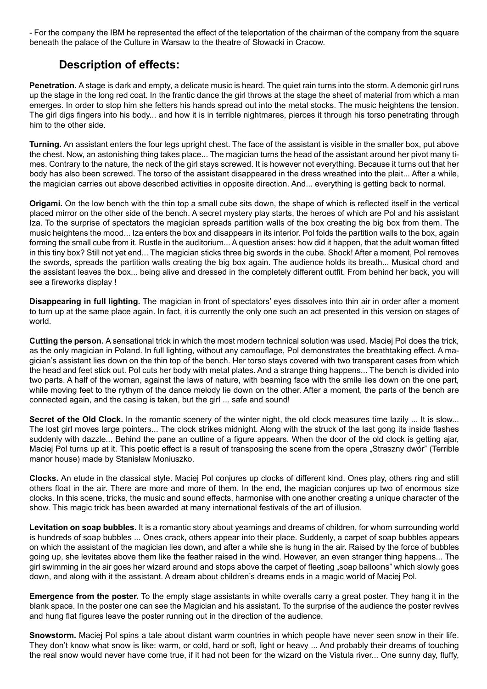- For the company the IBM he represented the effect of the teleportation of the chairman of the company from the square beneath the palace of the Culture in Warsaw to the theatre of Słowacki in Cracow.

# **Description of effects:**

**Penetration.** A stage is dark and empty, a delicate music is heard. The quiet rain turns into the storm. A demonic girl runs up the stage in the long red coat. In the frantic dance the girl throws at the stage the sheet of material from which a man emerges. In order to stop him she fetters his hands spread out into the metal stocks. The music heightens the tension. The girl digs fingers into his body... and how it is in terrible nightmares, pierces it through his torso penetrating through him to the other side.

**Turning.** An assistant enters the four legs upright chest. The face of the assistant is visible in the smaller box, put above the chest. Now, an astonishing thing takes place... The magician turns the head of the assistant around her pivot many times. Contrary to the nature, the neck of the girl stays screwed. It is however not everything. Because it turns out that her body has also been screwed. The torso of the assistant disappeared in the dress wreathed into the plait... After a while, the magician carries out above described activities in opposite direction. And... everything is getting back to normal.

**Origami.** On the low bench with the thin top a small cube sits down, the shape of which is reflected itself in the vertical placed mirror on the other side of the bench. A secret mystery play starts, the heroes of which are Pol and his assistant Iza. To the surprise of spectators the magician spreads partition walls of the box creating the big box from them. The music heightens the mood... Iza enters the box and disappears in its interior. Pol folds the partition walls to the box, again forming the small cube from it. Rustle in the auditorium... A question arises: how did it happen, that the adult woman fitted in this tiny box? Still not yet end... The magician sticks three big swords in the cube. Shock! After a moment, Pol removes the swords, spreads the partition walls creating the big box again. The audience holds its breath... Musical chord and the assistant leaves the box... being alive and dressed in the completely different outfit. From behind her back, you will see a fireworks display !

**Disappearing in full lighting.** The magician in front of spectators' eyes dissolves into thin air in order after a moment to turn up at the same place again. In fact, it is currently the only one such an act presented in this version on stages of world.

**Cutting the person.** A sensational trick in which the most modern technical solution was used. Maciej Pol does the trick, as the only magician in Poland. In full lighting, without any camouflage, Pol demonstrates the breathtaking effect. A magician's assistant lies down on the thin top of the bench. Her torso stays covered with two transparent cases from which the head and feet stick out. Pol cuts her body with metal plates. And a strange thing happens... The bench is divided into two parts. A half of the woman, against the laws of nature, with beaming face with the smile lies down on the one part, while moving feet to the rythym of the dance melody lie down on the other. After a moment, the parts of the bench are connected again, and the casing is taken, but the girl ... safe and sound!

**Secret of the Old Clock.** In the romantic scenery of the winter night, the old clock measures time lazily ... It is slow... The lost girl moves large pointers... The clock strikes midnight. Along with the struck of the last gong its inside flashes suddenly with dazzle... Behind the pane an outline of a figure appears. When the door of the old clock is getting ajar, Maciej Pol turns up at it. This poetic effect is a result of transposing the scene from the opera "Straszny dwór" (Terrible manor house) made by Stanisław Moniuszko.

**Clocks.** An etude in the classical style. Maciej Pol conjures up clocks of different kind. Ones play, others ring and still others float in the air. There are more and more of them. In the end, the magician conjures up two of enormous size clocks. In this scene, tricks, the music and sound effects, harmonise with one another creating a unique character of the show. This magic trick has been awarded at many international festivals of the art of illusion.

**Levitation on soap bubbles.** It is a romantic story about yearnings and dreams of children, for whom surrounding world is hundreds of soap bubbles ... Ones crack, others appear into their place. Suddenly, a carpet of soap bubbles appears on which the assistant of the magician lies down, and after a while she is hung in the air. Raised by the force of bubbles going up, she levitates above them like the feather raised in the wind. However, an even stranger thing happens... The girl swimming in the air goes her wizard around and stops above the carpet of fleeting "soap balloons" which slowly goes down, and along with it the assistant. A dream about children's dreams ends in a magic world of Maciej Pol.

**Emergence from the poster.** To the empty stage assistants in white overalls carry a great poster. They hang it in the blank space. In the poster one can see the Magician and his assistant. To the surprise of the audience the poster revives and hung flat figures leave the poster running out in the direction of the audience.

**Snowstorm.** Maciej Pol spins a tale about distant warm countries in which people have never seen snow in their life. They don't know what snow is like: warm, or cold, hard or soft, light or heavy ... And probably their dreams of touching the real snow would never have come true, if it had not been for the wizard on the Vistula river... One sunny day, fluffy,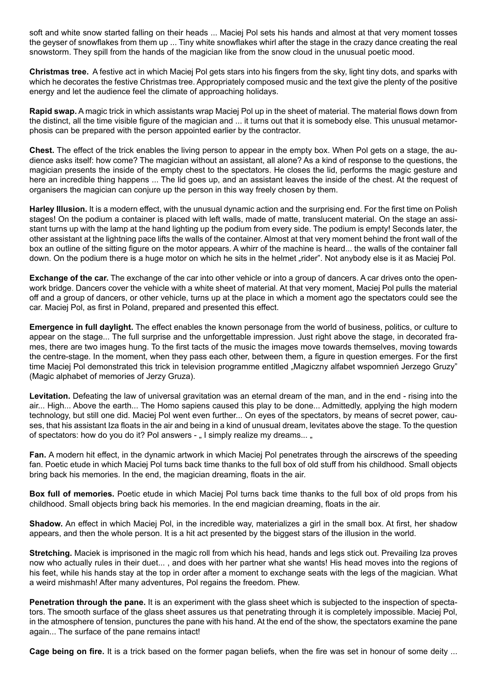soft and white snow started falling on their heads ... Maciej Pol sets his hands and almost at that very moment tosses the geyser of snowflakes from them up ... Tiny white snowflakes whirl after the stage in the crazy dance creating the real snowstorm. They spill from the hands of the magician like from the snow cloud in the unusual poetic mood.

**Christmas tree.** A festive act in which Maciej Pol gets stars into his fingers from the sky, light tiny dots, and sparks with which he decorates the festive Christmas tree. Appropriately composed music and the text give the plenty of the positive energy and let the audience feel the climate of approaching holidays.

**Rapid swap.** A magic trick in which assistants wrap Maciej Pol up in the sheet of material. The material flows down from the distinct, all the time visible figure of the magician and ... it turns out that it is somebody else. This unusual metamorphosis can be prepared with the person appointed earlier by the contractor.

**Chest.** The effect of the trick enables the living person to appear in the empty box. When Pol gets on a stage, the audience asks itself: how come? The magician without an assistant, all alone? As a kind of response to the questions, the magician presents the inside of the empty chest to the spectators. He closes the lid, performs the magic gesture and here an incredible thing happens ... The lid goes up, and an assistant leaves the inside of the chest. At the request of organisers the magician can conjure up the person in this way freely chosen by them.

**Harley Illusion.** It is a modern effect, with the unusual dynamic action and the surprising end. For the first time on Polish stages! On the podium a container is placed with left walls, made of matte, translucent material. On the stage an assistant turns up with the lamp at the hand lighting up the podium from every side. The podium is empty! Seconds later, the other assistant at the lightning pace lifts the walls of the container. Almost at that very moment behind the front wall of the box an outline of the sitting figure on the motor appears. A whirr of the machine is heard... the walls of the container fall down. On the podium there is a huge motor on which he sits in the helmet "rider". Not anybody else is it as Maciej Pol.

**Exchange of the car.** The exchange of the car into other vehicle or into a group of dancers. A car drives onto the openwork bridge. Dancers cover the vehicle with a white sheet of material. At that very moment, Maciej Pol pulls the material off and a group of dancers, or other vehicle, turns up at the place in which a moment ago the spectators could see the car. Maciej Pol, as first in Poland, prepared and presented this effect.

**Emergence in full daylight.** The effect enables the known personage from the world of business, politics, or culture to appear on the stage... The full surprise and the unforgettable impression. Just right above the stage, in decorated frames, there are two images hung. To the first tacts of the music the images move towards themselves, moving towards the centre-stage. In the moment, when they pass each other, between them, a figure in question emerges. For the first time Maciej Pol demonstrated this trick in television programme entitled "Magiczny alfabet wspomnień Jerzego Gruzy" (Magic alphabet of memories of Jerzy Gruza).

**Levitation.** Defeating the law of universal gravitation was an eternal dream of the man, and in the end - rising into the air... High... Above the earth... The Homo sapiens caused this play to be done... Admittedly, applying the high modern technology, but still one did. Maciej Pol went even further... On eyes of the spectators, by means of secret power, causes, that his assistant Iza floats in the air and being in a kind of unusual dream, levitates above the stage. To the question of spectators: how do you do it? Pol answers - . I simply realize my dreams... .

**Fan.** A modern hit effect, in the dynamic artwork in which Maciej Pol penetrates through the airscrews of the speeding fan. Poetic etude in which Maciej Pol turns back time thanks to the full box of old stuff from his childhood. Small objects bring back his memories. In the end, the magician dreaming, floats in the air.

**Box full of memories.** Poetic etude in which Maciej Pol turns back time thanks to the full box of old props from his childhood. Small objects bring back his memories. In the end magician dreaming, floats in the air.

**Shadow.** An effect in which Maciej Pol, in the incredible way, materializes a girl in the small box. At first, her shadow appears, and then the whole person. It is a hit act presented by the biggest stars of the illusion in the world.

**Stretching.** Maciek is imprisoned in the magic roll from which his head, hands and legs stick out. Prevailing Iza proves now who actually rules in their duet... , and does with her partner what she wants! His head moves into the regions of his feet, while his hands stay at the top in order after a moment to exchange seats with the legs of the magician. What a weird mishmash! After many adventures, Pol regains the freedom. Phew.

**Penetration through the pane.** It is an experiment with the glass sheet which is subjected to the inspection of spectators. The smooth surface of the glass sheet assures us that penetrating through it is completely impossible. Maciej Pol, in the atmosphere of tension, punctures the pane with his hand. At the end of the show, the spectators examine the pane again... The surface of the pane remains intact!

**Cage being on fire.** It is a trick based on the former pagan beliefs, when the fire was set in honour of some deity ...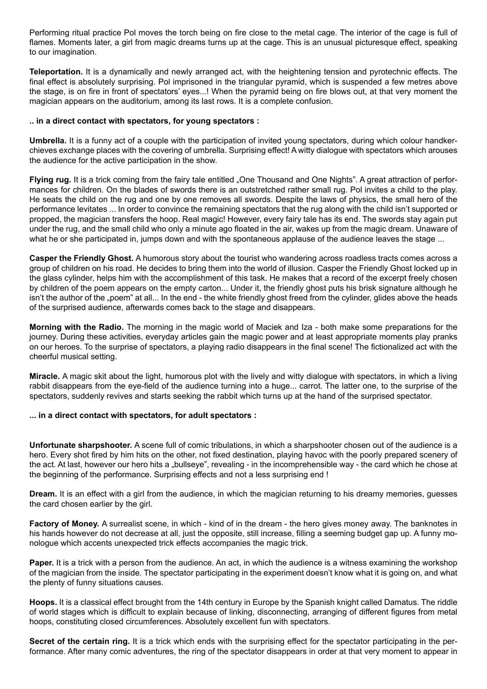Performing ritual practice Pol moves the torch being on fire close to the metal cage. The interior of the cage is full of flames. Moments later, a girl from magic dreams turns up at the cage. This is an unusual picturesque effect, speaking to our imagination.

**Teleportation.** It is a dynamically and newly arranged act, with the heightening tension and pyrotechnic effects. The final effect is absolutely surprising. Pol imprisoned in the triangular pyramid, which is suspended a few metres above the stage, is on fire in front of spectators' eyes...! When the pyramid being on fire blows out, at that very moment the magician appears on the auditorium, among its last rows. It is a complete confusion.

#### **.. in a direct contact with spectators, for young spectators :**

**Umbrella.** It is a funny act of a couple with the participation of invited young spectators, during which colour handkerchieves exchange places with the covering of umbrella. Surprising effect! A witty dialogue with spectators which arouses the audience for the active participation in the show.

**Flying rug.** It is a trick coming from the fairy tale entitled "One Thousand and One Nights". A great attraction of performances for children. On the blades of swords there is an outstretched rather small rug. Pol invites a child to the play. He seats the child on the rug and one by one removes all swords. Despite the laws of physics, the small hero of the performance levitates ... In order to convince the remaining spectators that the rug along with the child isn't supported or propped, the magician transfers the hoop. Real magic! However, every fairy tale has its end. The swords stay again put under the rug, and the small child who only a minute ago floated in the air, wakes up from the magic dream. Unaware of what he or she participated in, jumps down and with the spontaneous applause of the audience leaves the stage ...

**Casper the Friendly Ghost.** A humorous story about the tourist who wandering across roadless tracts comes across a group of children on his road. He decides to bring them into the world of illusion. Casper the Friendly Ghost locked up in the glass cylinder, helps him with the accomplishment of this task. He makes that a record of the excerpt freely chosen by children of the poem appears on the empty carton... Under it, the friendly ghost puts his brisk signature although he isn't the author of the "poem" at all... In the end - the white friendly ghost freed from the cylinder, glides above the heads of the surprised audience, afterwards comes back to the stage and disappears.

**Morning with the Radio.** The morning in the magic world of Maciek and Iza - both make some preparations for the journey. During these activities, everyday articles gain the magic power and at least appropriate moments play pranks on our heroes. To the surprise of spectators, a playing radio disappears in the final scene! The fictionalized act with the cheerful musical setting.

**Miracle.** A magic skit about the light, humorous plot with the lively and witty dialogue with spectators, in which a living rabbit disappears from the eye-field of the audience turning into a huge... carrot. The latter one, to the surprise of the spectators, suddenly revives and starts seeking the rabbit which turns up at the hand of the surprised spectator.

#### **... in a direct contact with spectators, for adult spectators :**

**Unfortunate sharpshooter.** A scene full of comic tribulations, in which a sharpshooter chosen out of the audience is a hero. Every shot fired by him hits on the other, not fixed destination, playing havoc with the poorly prepared scenery of the act. At last, however our hero hits a "bullseye", revealing - in the incomprehensible way - the card which he chose at the beginning of the performance. Surprising effects and not a less surprising end !

**Dream.** It is an effect with a girl from the audience, in which the magician returning to his dreamy memories, guesses the card chosen earlier by the girl.

**Factory of Money.** A surrealist scene, in which - kind of in the dream - the hero gives money away. The banknotes in his hands however do not decrease at all, just the opposite, still increase, filling a seeming budget gap up. A funny monologue which accents unexpected trick effects accompanies the magic trick.

**Paper.** It is a trick with a person from the audience. An act, in which the audience is a witness examining the workshop of the magician from the inside. The spectator participating in the experiment doesn't know what it is going on, and what the plenty of funny situations causes.

**Hoops.** It is a classical effect brought from the 14th century in Europe by the Spanish knight called Damatus. The riddle of world stages which is difficult to explain because of linking, disconnecting, arranging of different figures from metal hoops, constituting closed circumferences. Absolutely excellent fun with spectators.

**Secret of the certain ring.** It is a trick which ends with the surprising effect for the spectator participating in the performance. After many comic adventures, the ring of the spectator disappears in order at that very moment to appear in